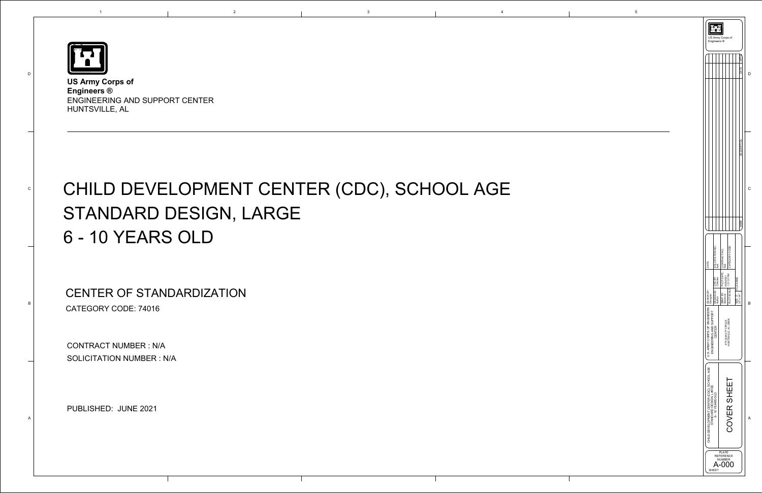

D

C

B

A

1

**US Army Corps of Engineers ®**  ENGINEERING AND SUPPORT CENTER HUNTSVILLE, AL



# CHILD DEVELOPMENT CENTER (CDC), SCHOOL AGE STANDARD DESIGN, LARGE 6 - 10 YEARS OLD

CONTRACT NUMBER : N/A SOLICITATION NUMBER : N/A

e 2021<br>PUBLISHED: JUNE 2021

CENTER OF STANDARDIZATION CATEGORY CODE: 74016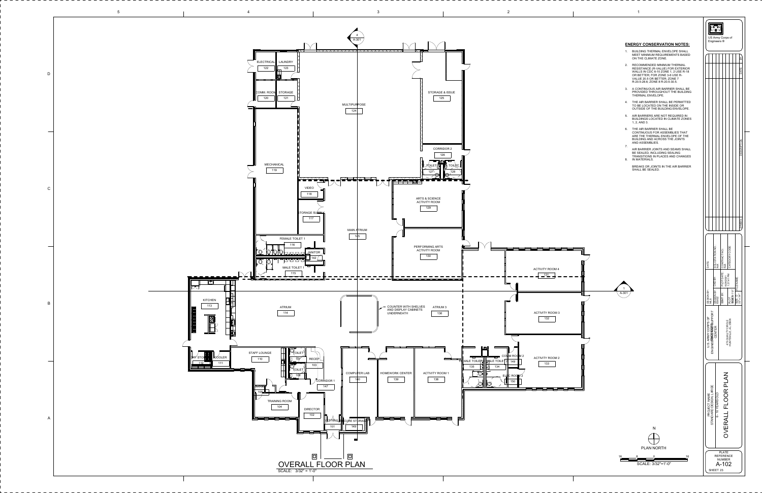

- 
- 
- 
- 
- 
- 
-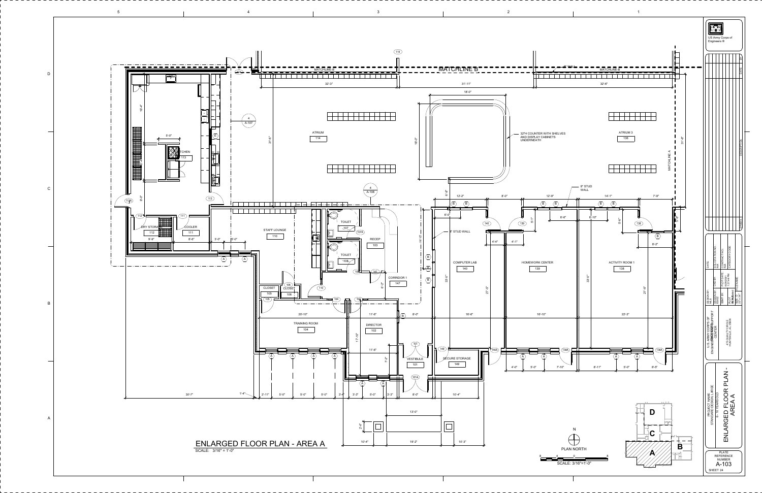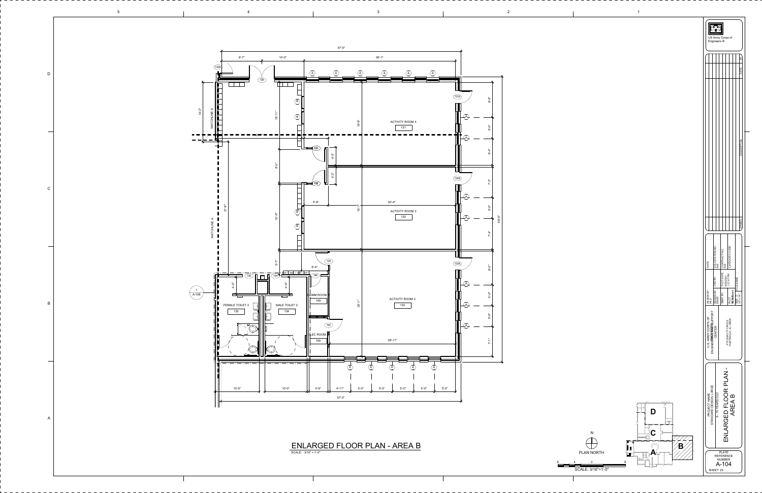

2



|       | DRAWN BY: CKD BY:<br>ES/EZ<br>DESIGN BY:<br>M.S<br>ENGINEERN@WEERSUPPORT<br>U.S. ARMY CORPS OF<br>CENTER |  |                          | BY: PLOT DATE: CONTRACT NO.:<br>6/28/2021<br>6/28/2021<br>1:37:47 PM<br>SIZE: D<br>22" x 34"  <br>22" x 34"<br><b>AS Addicated</b><br><b>SBMT</b><br>PLOT<br>475 QUALITY CIRCLE<br>HUNTSVILLE, AL 35806<br>П<br>NLARGED FLOOR PLAN |  |  |                |  |  |                  |  |
|-------|----------------------------------------------------------------------------------------------------------|--|--------------------------|------------------------------------------------------------------------------------------------------------------------------------------------------------------------------------------------------------------------------------|--|--|----------------|--|--|------------------|--|
| DATE: |                                                                                                          |  | SOLICITATION NO.:<br>N/A |                                                                                                                                                                                                                                    |  |  | CATEGORY CODE: |  |  | <b>SYMBOL</b>    |  |
|       |                                                                                                          |  |                          |                                                                                                                                                                                                                                    |  |  |                |  |  |                  |  |
|       |                                                                                                          |  |                          |                                                                                                                                                                                                                                    |  |  |                |  |  | ≧<br><b>JATF</b> |  |

![](_page_3_Figure_5.jpeg)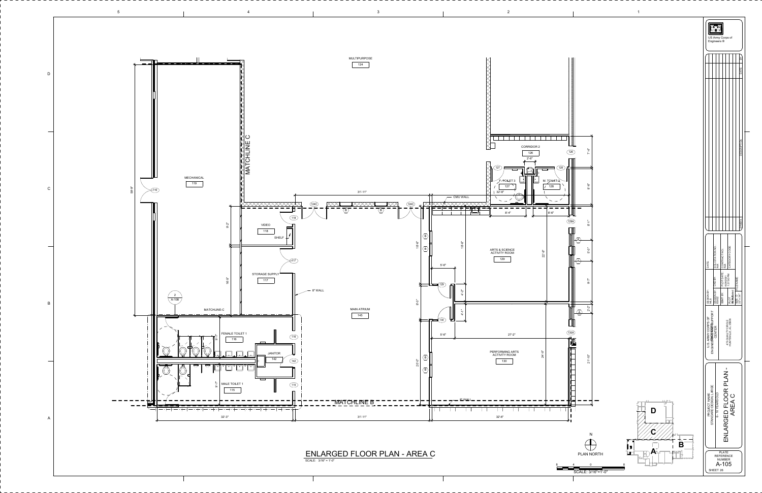![](_page_4_Figure_0.jpeg)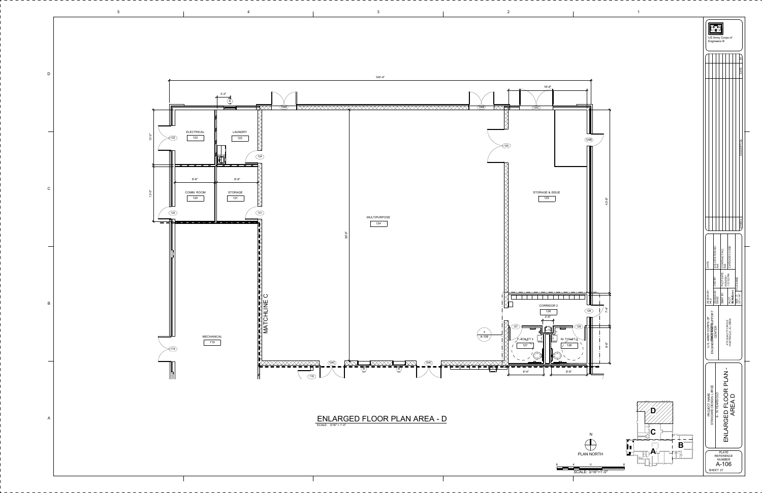5

2

![](_page_5_Figure_0.jpeg)

 $4$  and  $3$  1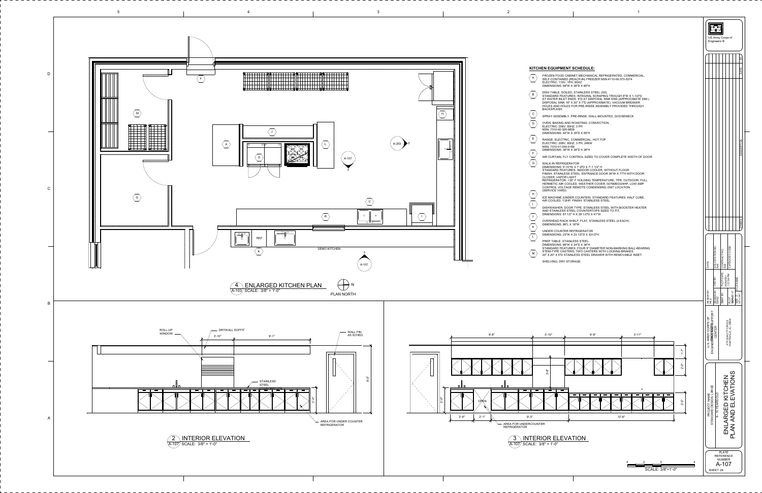|                                                                                                                                                                                                                                                                                                                                                                                                                | US Army Corps of<br>Engineers ®                                                                                                                                                                                                                                                                     |  |  |  |
|----------------------------------------------------------------------------------------------------------------------------------------------------------------------------------------------------------------------------------------------------------------------------------------------------------------------------------------------------------------------------------------------------------------|-----------------------------------------------------------------------------------------------------------------------------------------------------------------------------------------------------------------------------------------------------------------------------------------------------|--|--|--|
|                                                                                                                                                                                                                                                                                                                                                                                                                | ΣŃ                                                                                                                                                                                                                                                                                                  |  |  |  |
| <b>EN EQUIPMENT SCHEDULE:</b><br>FROZEN FOOD CABINET MECHANICAL REFRIGERATED, COMMERCIAL,<br>SELF-CONTAINED (REACH-IN) FREEZER NSN:4110-00-370-5374<br>ELECTRIC: 115V, 1PH, 60HZ<br>DIMENSIONS: 59"W X 38"D X 85"H                                                                                                                                                                                             | DATE                                                                                                                                                                                                                                                                                                |  |  |  |
| DISH TABLE, SOILED, STAINLESS STEEL (SS)<br>STANDARD FEATURES: INTEGRAL SCRAPING TROUGH 6"W X 1-1/2"D<br>AT WATER INLET ENDS. 5"D AT DISPOSAL SINK END (APPROCIMATE DIM.)<br>DISPOSAL SINK 16" X 20" X 7"D (APPROXIMATE). VACUUM BREAKER<br>HOLES AND HOLES FOR PRE-RINSE ASSEMBLY PROVIDED THROUGH<br>BACKSPLASH.                                                                                             |                                                                                                                                                                                                                                                                                                     |  |  |  |
| SPRAY ASSEMBLY, PRE-RINSE, WALL-MOUNTED, GOOSENECK<br>OVEN, BAKING AND ROASTING, CONVECTION,<br>ELECTRIC: 208V, 60HZ, 3 PH<br>NSN: 7310-00-320-9829<br>DIMENSIONS: 40"W X 39"D X 65"H                                                                                                                                                                                                                          |                                                                                                                                                                                                                                                                                                     |  |  |  |
| RANGE, ELECTRIC, COMMERCIAL, HOT TOP<br>ELECTRIC: 208V, 60HZ, 3 PH, 24KW<br>NSN: 7310-01-034-0169<br>DIMENSIONS: 36"W X 38"D X 36"H<br>AIR CURTAIN, FLY CONTROL SIZED TO COVER COMPLETE WIDTH OF DOOR                                                                                                                                                                                                          | <b>DESCRIPTION</b>                                                                                                                                                                                                                                                                                  |  |  |  |
| WALK-IN REFRIGERATOR<br>DIMENSIONS: 5'-10"W X 7'-9"D X 7'-1 1/2" H<br>STANDARD FEATURES: INDOOR COOLER, WITHOUT FLOOR<br>FINISH: STAINLESS STEEL. ENTRANCE DOOR 36"W X 77"H WITH DOOR<br>CLOSER, VAPOR LIGHT<br>REFRIGERATOR: +35° F HOLDING TEMPERATURE, TPR, OUTDOOR, FULL<br>HERMETIC AIR COOLED, WEATHER COVER, 0075MED3/4HP, LOW AMP<br>CONTROL VOLTAGE REMOTE CONDENSING UNIT LOCATION<br>(SERVICE YARD) |                                                                                                                                                                                                                                                                                                     |  |  |  |
| ICE MACHINE (UNDER COUNTER). STANDARD FEATURES: HALF CUBE,<br>AIR COOLED, 1/2HP. FINISH: STAINLESS STEEL                                                                                                                                                                                                                                                                                                       |                                                                                                                                                                                                                                                                                                     |  |  |  |
| DISHWASHER, DOOR TYPE, STAINLESS STEEL WITH BOOSTER HEATER<br>AND STAINLESS STEEL COUNTERTOPS SIZED TO FIT,<br>DIMENSIONS: 67 1/2" H X 29 1/2"D X 41"W                                                                                                                                                                                                                                                         |                                                                                                                                                                                                                                                                                                     |  |  |  |
| OVERHEAD RACK SHELF, FLAT, STAINLESS STEEL (4 EACH)<br>DIMENSIONS: 96"L X 18"W                                                                                                                                                                                                                                                                                                                                 | <b>SYMBOL</b>                                                                                                                                                                                                                                                                                       |  |  |  |
| UNDER COUNTER REFRIGERATOR<br>DIMENSIONS: 23"W X 23 1/2"D X 331/2"H                                                                                                                                                                                                                                                                                                                                            |                                                                                                                                                                                                                                                                                                     |  |  |  |
| DIMENSIONS: 66"W X 24"D X 36"H<br>STANDARD FEATURES: FOUR 5" DIAMETER NON-MARKING BALL-BEARING<br>STEM-TYPE CASTERS, TWO CASTERS WITH LOCKING BRAKES<br>20" X 20" X 5"D STAINLESS STEEL DRAWER WITH REMOVABLE INSET.<br>SHELVING, DRY STORAGE                                                                                                                                                                  | SOLICITATION NO.:<br>N/A<br> <br>В<br>З<br>CONTRACT NO.:<br>N/A<br>CATEGORY CODE<br>DATE:<br>PLOT DATE:<br>6/28/2021<br>1:37:54 PM<br>CKD BY:<br>NAME:<br>FILE I<br>DRAWN BY:<br>ES/EZ<br>ESIGN BY:<br>LS<br>PLOT<br>SWORLEY'-0"<br>SBMT BY:<br>$\Box \frac{4}{5}$<br>$\frac{1}{\text{SIZE}}$<br>음료 |  |  |  |
|                                                                                                                                                                                                                                                                                                                                                                                                                | p                                                                                                                                                                                                                                                                                                   |  |  |  |
| $3' - 11"$<br>$6' - 9''$<br>$3' - 10"$<br>$1 - 7$ "                                                                                                                                                                                                                                                                                                                                                            | ENGINEERWOUKFERSUPPORT<br>475 QUALITY CIRCLE<br>HUNTSVILLE, AL 35806<br>ARMY CORPS<br>CENTER<br>ن<br>د                                                                                                                                                                                              |  |  |  |
| $2 - 0$ "<br>$3 - 8$                                                                                                                                                                                                                                                                                                                                                                                           |                                                                                                                                                                                                                                                                                                     |  |  |  |
| $=$<br>$\qquad \qquad$<br>$\equiv$<br>-5"<br>2'-5                                                                                                                                                                                                                                                                                                                                                              | EVATIONS<br>KITCHEN<br>STANDARD DESIGN, LARGE<br>6 - 10 YEARS OLD<br>PROJECT NAME<br>LARGED                                                                                                                                                                                                         |  |  |  |
| $12 - 6"$<br>R                                                                                                                                                                                                                                                                                                                                                                                                 | AN AND EI<br>N<br>三                                                                                                                                                                                                                                                                                 |  |  |  |
| <b>OR ELEVATION</b><br>$8" = 1'-0"$                                                                                                                                                                                                                                                                                                                                                                            | $\overline{\mathsf{a}}$                                                                                                                                                                                                                                                                             |  |  |  |
| 2<br>0<br>SCALE: $3/8" = 1'-0"$                                                                                                                                                                                                                                                                                                                                                                                | <b>PLATE</b><br><b>REFERENCE</b><br><b>NUMBER</b><br>A-107<br>SHEET 28                                                                                                                                                                                                                              |  |  |  |
|                                                                                                                                                                                                                                                                                                                                                                                                                |                                                                                                                                                                                                                                                                                                     |  |  |  |

 $\overline{\phantom{0}}$ 

<span id="page-6-0"></span>![](_page_6_Figure_0.jpeg)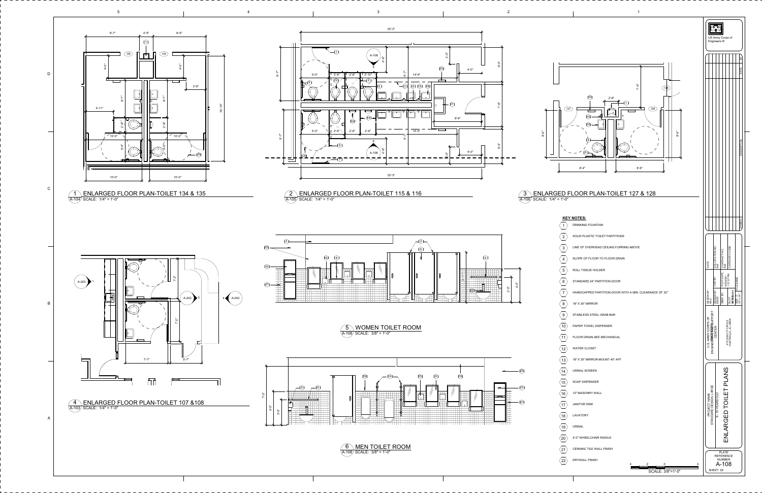<span id="page-7-0"></span>![](_page_7_Figure_0.jpeg)

SCALE: 3/8"=1'-0"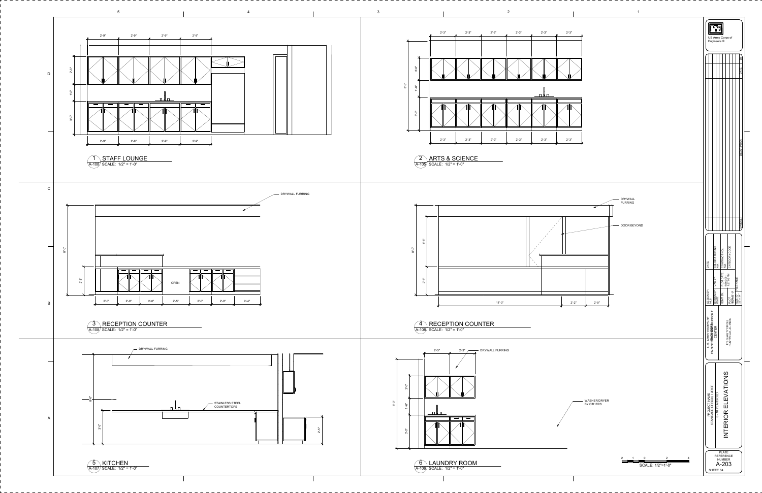<span id="page-8-0"></span>![](_page_8_Figure_0.jpeg)